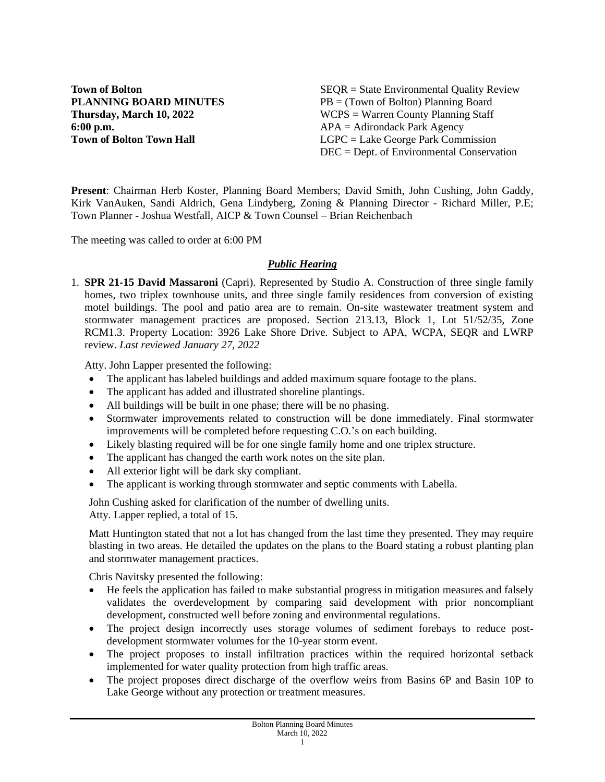**6:00 p.m.** APA = Adirondack Park Agency

**Town of Bolton** SEQR = State Environmental Quality Review **PLANNING BOARD MINUTES** PB = (Town of Bolton) Planning Board **Thursday, March 10, 2022** WCPS = Warren County Planning Staff **Town of Bolton Town Hall LGPC** = Lake George Park Commission DEC = Dept. of Environmental Conservation

**Present**: Chairman Herb Koster, Planning Board Members; David Smith, John Cushing, John Gaddy, Kirk VanAuken, Sandi Aldrich, Gena Lindyberg, Zoning & Planning Director - Richard Miller, P.E; Town Planner - Joshua Westfall, AICP & Town Counsel – Brian Reichenbach

The meeting was called to order at 6:00 PM

# *Public Hearing*

1. **SPR 21-15 David Massaroni** (Capri). Represented by Studio A. Construction of three single family homes, two triplex townhouse units, and three single family residences from conversion of existing motel buildings. The pool and patio area are to remain. On-site wastewater treatment system and stormwater management practices are proposed. Section 213.13, Block 1, Lot 51/52/35, Zone RCM1.3. Property Location: 3926 Lake Shore Drive. Subject to APA, WCPA, SEQR and LWRP review. *Last reviewed January 27, 2022*

Atty. John Lapper presented the following:

- The applicant has labeled buildings and added maximum square footage to the plans.
- The applicant has added and illustrated shoreline plantings.
- All buildings will be built in one phase; there will be no phasing.
- Stormwater improvements related to construction will be done immediately. Final stormwater improvements will be completed before requesting C.O.'s on each building.
- Likely blasting required will be for one single family home and one triplex structure.
- The applicant has changed the earth work notes on the site plan.
- All exterior light will be dark sky compliant.
- The applicant is working through stormwater and septic comments with Labella.

John Cushing asked for clarification of the number of dwelling units. Atty. Lapper replied, a total of 15.

Matt Huntington stated that not a lot has changed from the last time they presented. They may require blasting in two areas. He detailed the updates on the plans to the Board stating a robust planting plan and stormwater management practices.

Chris Navitsky presented the following:

- He feels the application has failed to make substantial progress in mitigation measures and falsely validates the overdevelopment by comparing said development with prior noncompliant development, constructed well before zoning and environmental regulations.
- The project design incorrectly uses storage volumes of sediment forebays to reduce postdevelopment stormwater volumes for the 10-year storm event.
- The project proposes to install infiltration practices within the required horizontal setback implemented for water quality protection from high traffic areas.
- The project proposes direct discharge of the overflow weirs from Basins 6P and Basin 10P to Lake George without any protection or treatment measures.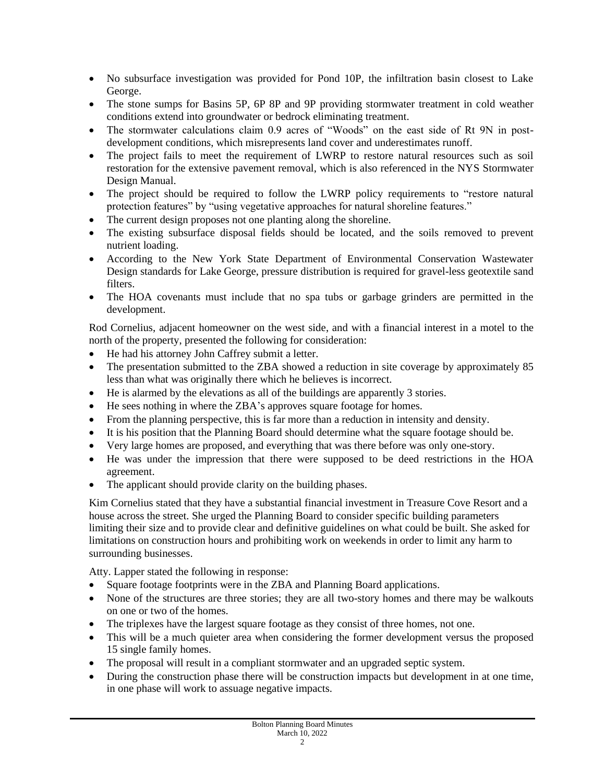- No subsurface investigation was provided for Pond 10P, the infiltration basin closest to Lake George.
- The stone sumps for Basins 5P, 6P 8P and 9P providing stormwater treatment in cold weather conditions extend into groundwater or bedrock eliminating treatment.
- The stormwater calculations claim 0.9 acres of "Woods" on the east side of Rt 9N in postdevelopment conditions, which misrepresents land cover and underestimates runoff.
- The project fails to meet the requirement of LWRP to restore natural resources such as soil restoration for the extensive pavement removal, which is also referenced in the NYS Stormwater Design Manual.
- The project should be required to follow the LWRP policy requirements to "restore natural protection features" by "using vegetative approaches for natural shoreline features."
- The current design proposes not one planting along the shoreline.
- The existing subsurface disposal fields should be located, and the soils removed to prevent nutrient loading.
- According to the New York State Department of Environmental Conservation Wastewater Design standards for Lake George, pressure distribution is required for gravel-less geotextile sand filters.
- The HOA covenants must include that no spa tubs or garbage grinders are permitted in the development.

Rod Cornelius, adjacent homeowner on the west side, and with a financial interest in a motel to the north of the property, presented the following for consideration:

- He had his attorney John Caffrey submit a letter.
- The presentation submitted to the ZBA showed a reduction in site coverage by approximately 85 less than what was originally there which he believes is incorrect.
- He is alarmed by the elevations as all of the buildings are apparently 3 stories.
- He sees nothing in where the ZBA's approves square footage for homes.
- From the planning perspective, this is far more than a reduction in intensity and density.
- It is his position that the Planning Board should determine what the square footage should be.
- Very large homes are proposed, and everything that was there before was only one-story.
- He was under the impression that there were supposed to be deed restrictions in the HOA agreement.
- The applicant should provide clarity on the building phases.

Kim Cornelius stated that they have a substantial financial investment in Treasure Cove Resort and a house across the street. She urged the Planning Board to consider specific building parameters limiting their size and to provide clear and definitive guidelines on what could be built. She asked for limitations on construction hours and prohibiting work on weekends in order to limit any harm to surrounding businesses.

Atty. Lapper stated the following in response:

- Square footage footprints were in the ZBA and Planning Board applications.
- None of the structures are three stories; they are all two-story homes and there may be walkouts on one or two of the homes.
- The triplexes have the largest square footage as they consist of three homes, not one.
- This will be a much quieter area when considering the former development versus the proposed 15 single family homes.
- The proposal will result in a compliant stormwater and an upgraded septic system.
- During the construction phase there will be construction impacts but development in at one time, in one phase will work to assuage negative impacts.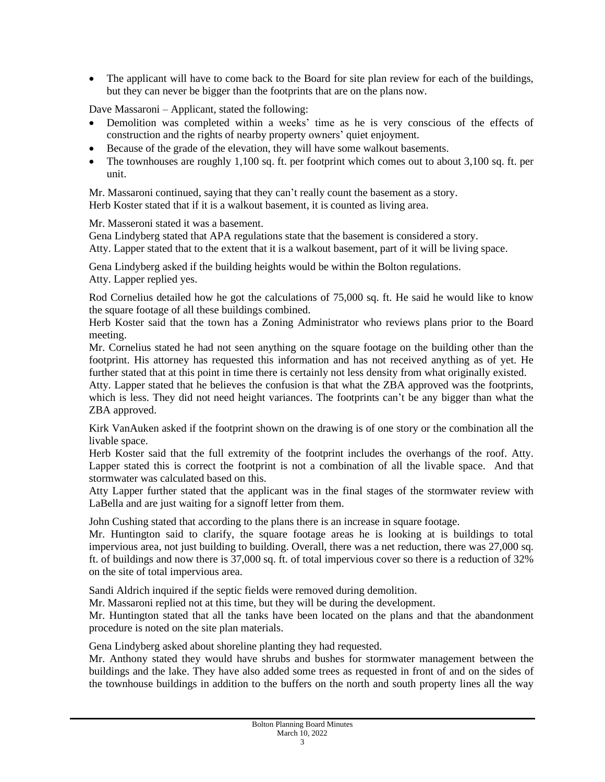• The applicant will have to come back to the Board for site plan review for each of the buildings, but they can never be bigger than the footprints that are on the plans now.

Dave Massaroni – Applicant, stated the following:

- Demolition was completed within a weeks' time as he is very conscious of the effects of construction and the rights of nearby property owners' quiet enjoyment.
- Because of the grade of the elevation, they will have some walkout basements.
- The townhouses are roughly 1,100 sq. ft. per footprint which comes out to about 3,100 sq. ft. per unit.

Mr. Massaroni continued, saying that they can't really count the basement as a story. Herb Koster stated that if it is a walkout basement, it is counted as living area.

Mr. Masseroni stated it was a basement.

Gena Lindyberg stated that APA regulations state that the basement is considered a story.

Atty. Lapper stated that to the extent that it is a walkout basement, part of it will be living space.

Gena Lindyberg asked if the building heights would be within the Bolton regulations. Atty. Lapper replied yes.

Rod Cornelius detailed how he got the calculations of 75,000 sq. ft. He said he would like to know the square footage of all these buildings combined.

Herb Koster said that the town has a Zoning Administrator who reviews plans prior to the Board meeting.

Mr. Cornelius stated he had not seen anything on the square footage on the building other than the footprint. His attorney has requested this information and has not received anything as of yet. He further stated that at this point in time there is certainly not less density from what originally existed.

Atty. Lapper stated that he believes the confusion is that what the ZBA approved was the footprints, which is less. They did not need height variances. The footprints can't be any bigger than what the ZBA approved.

Kirk VanAuken asked if the footprint shown on the drawing is of one story or the combination all the livable space.

Herb Koster said that the full extremity of the footprint includes the overhangs of the roof. Atty. Lapper stated this is correct the footprint is not a combination of all the livable space. And that stormwater was calculated based on this.

Atty Lapper further stated that the applicant was in the final stages of the stormwater review with LaBella and are just waiting for a signoff letter from them.

John Cushing stated that according to the plans there is an increase in square footage.

Mr. Huntington said to clarify, the square footage areas he is looking at is buildings to total impervious area, not just building to building. Overall, there was a net reduction, there was 27,000 sq. ft. of buildings and now there is 37,000 sq. ft. of total impervious cover so there is a reduction of 32% on the site of total impervious area.

Sandi Aldrich inquired if the septic fields were removed during demolition.

Mr. Massaroni replied not at this time, but they will be during the development.

Mr. Huntington stated that all the tanks have been located on the plans and that the abandonment procedure is noted on the site plan materials.

Gena Lindyberg asked about shoreline planting they had requested.

Mr. Anthony stated they would have shrubs and bushes for stormwater management between the buildings and the lake. They have also added some trees as requested in front of and on the sides of the townhouse buildings in addition to the buffers on the north and south property lines all the way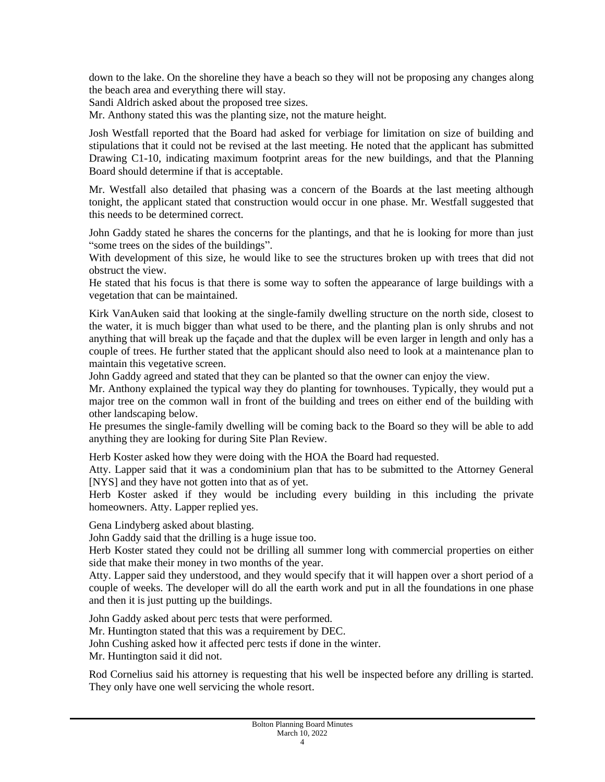down to the lake. On the shoreline they have a beach so they will not be proposing any changes along the beach area and everything there will stay.

Sandi Aldrich asked about the proposed tree sizes.

Mr. Anthony stated this was the planting size, not the mature height.

Josh Westfall reported that the Board had asked for verbiage for limitation on size of building and stipulations that it could not be revised at the last meeting. He noted that the applicant has submitted Drawing C1-10, indicating maximum footprint areas for the new buildings, and that the Planning Board should determine if that is acceptable.

Mr. Westfall also detailed that phasing was a concern of the Boards at the last meeting although tonight, the applicant stated that construction would occur in one phase. Mr. Westfall suggested that this needs to be determined correct.

John Gaddy stated he shares the concerns for the plantings, and that he is looking for more than just "some trees on the sides of the buildings".

With development of this size, he would like to see the structures broken up with trees that did not obstruct the view.

He stated that his focus is that there is some way to soften the appearance of large buildings with a vegetation that can be maintained.

Kirk VanAuken said that looking at the single-family dwelling structure on the north side, closest to the water, it is much bigger than what used to be there, and the planting plan is only shrubs and not anything that will break up the façade and that the duplex will be even larger in length and only has a couple of trees. He further stated that the applicant should also need to look at a maintenance plan to maintain this vegetative screen.

John Gaddy agreed and stated that they can be planted so that the owner can enjoy the view.

Mr. Anthony explained the typical way they do planting for townhouses. Typically, they would put a major tree on the common wall in front of the building and trees on either end of the building with other landscaping below.

He presumes the single-family dwelling will be coming back to the Board so they will be able to add anything they are looking for during Site Plan Review.

Herb Koster asked how they were doing with the HOA the Board had requested.

Atty. Lapper said that it was a condominium plan that has to be submitted to the Attorney General [NYS] and they have not gotten into that as of yet.

Herb Koster asked if they would be including every building in this including the private homeowners. Atty. Lapper replied yes.

Gena Lindyberg asked about blasting.

John Gaddy said that the drilling is a huge issue too.

Herb Koster stated they could not be drilling all summer long with commercial properties on either side that make their money in two months of the year.

Atty. Lapper said they understood, and they would specify that it will happen over a short period of a couple of weeks. The developer will do all the earth work and put in all the foundations in one phase and then it is just putting up the buildings.

John Gaddy asked about perc tests that were performed.

Mr. Huntington stated that this was a requirement by DEC.

John Cushing asked how it affected perc tests if done in the winter.

Mr. Huntington said it did not.

Rod Cornelius said his attorney is requesting that his well be inspected before any drilling is started. They only have one well servicing the whole resort.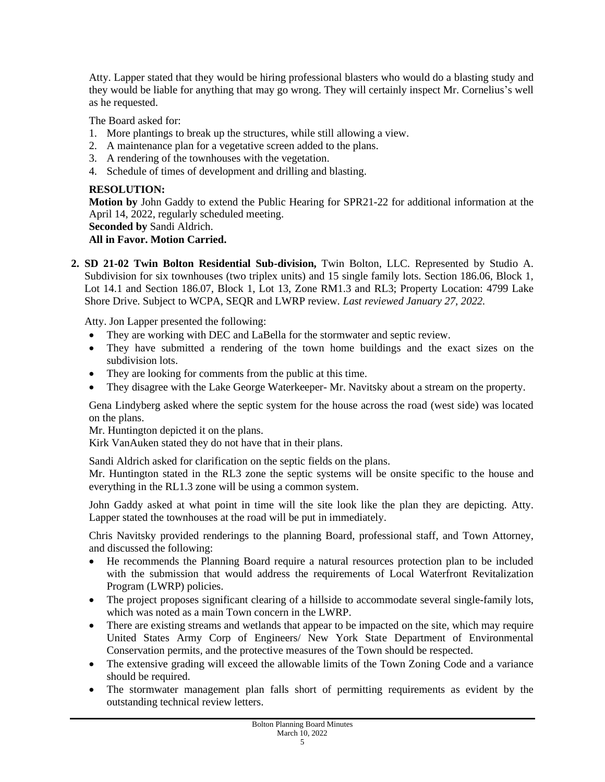Atty. Lapper stated that they would be hiring professional blasters who would do a blasting study and they would be liable for anything that may go wrong. They will certainly inspect Mr. Cornelius's well as he requested.

The Board asked for:

- 1. More plantings to break up the structures, while still allowing a view.
- 2. A maintenance plan for a vegetative screen added to the plans.
- 3. A rendering of the townhouses with the vegetation.
- 4. Schedule of times of development and drilling and blasting.

## **RESOLUTION:**

**Motion by** John Gaddy to extend the Public Hearing for SPR21-22 for additional information at the April 14, 2022, regularly scheduled meeting.

```
Seconded by Sandi Aldrich.
```
# **All in Favor. Motion Carried.**

**2. SD 21-02 Twin Bolton Residential Sub-division,** Twin Bolton, LLC. Represented by Studio A. Subdivision for six townhouses (two triplex units) and 15 single family lots. Section 186.06, Block 1, Lot 14.1 and Section 186.07, Block 1, Lot 13, Zone RM1.3 and RL3; Property Location: 4799 Lake Shore Drive. Subject to WCPA, SEQR and LWRP review*. Last reviewed January 27, 2022.*

Atty. Jon Lapper presented the following:

- They are working with DEC and LaBella for the stormwater and septic review.
- They have submitted a rendering of the town home buildings and the exact sizes on the subdivision lots.
- They are looking for comments from the public at this time.
- They disagree with the Lake George Waterkeeper- Mr. Navitsky about a stream on the property.

Gena Lindyberg asked where the septic system for the house across the road (west side) was located on the plans.

Mr. Huntington depicted it on the plans.

Kirk VanAuken stated they do not have that in their plans.

Sandi Aldrich asked for clarification on the septic fields on the plans.

Mr. Huntington stated in the RL3 zone the septic systems will be onsite specific to the house and everything in the RL1.3 zone will be using a common system.

John Gaddy asked at what point in time will the site look like the plan they are depicting. Atty. Lapper stated the townhouses at the road will be put in immediately.

Chris Navitsky provided renderings to the planning Board, professional staff, and Town Attorney, and discussed the following:

- He recommends the Planning Board require a natural resources protection plan to be included with the submission that would address the requirements of Local Waterfront Revitalization Program (LWRP) policies.
- The project proposes significant clearing of a hillside to accommodate several single-family lots, which was noted as a main Town concern in the LWRP.
- There are existing streams and wetlands that appear to be impacted on the site, which may require United States Army Corp of Engineers/ New York State Department of Environmental Conservation permits, and the protective measures of the Town should be respected.
- The extensive grading will exceed the allowable limits of the Town Zoning Code and a variance should be required.
- The stormwater management plan falls short of permitting requirements as evident by the outstanding technical review letters.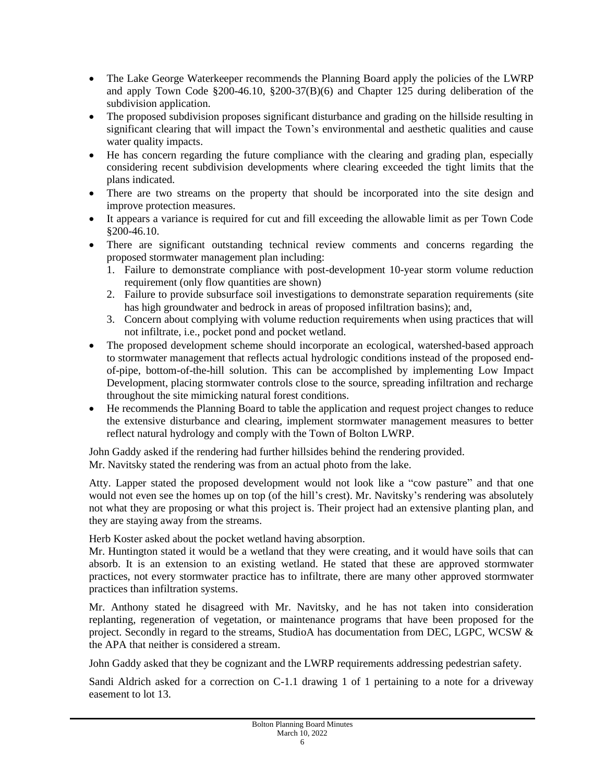- The Lake George Waterkeeper recommends the Planning Board apply the policies of the LWRP and apply Town Code §200-46.10, §200-37(B)(6) and Chapter 125 during deliberation of the subdivision application.
- The proposed subdivision proposes significant disturbance and grading on the hillside resulting in significant clearing that will impact the Town's environmental and aesthetic qualities and cause water quality impacts.
- He has concern regarding the future compliance with the clearing and grading plan, especially considering recent subdivision developments where clearing exceeded the tight limits that the plans indicated.
- There are two streams on the property that should be incorporated into the site design and improve protection measures.
- It appears a variance is required for cut and fill exceeding the allowable limit as per Town Code §200-46.10.
- There are significant outstanding technical review comments and concerns regarding the proposed stormwater management plan including:
	- 1. Failure to demonstrate compliance with post-development 10-year storm volume reduction requirement (only flow quantities are shown)
	- 2. Failure to provide subsurface soil investigations to demonstrate separation requirements (site has high groundwater and bedrock in areas of proposed infiltration basins); and,
	- 3. Concern about complying with volume reduction requirements when using practices that will not infiltrate, i.e., pocket pond and pocket wetland.
- The proposed development scheme should incorporate an ecological, watershed-based approach to stormwater management that reflects actual hydrologic conditions instead of the proposed endof-pipe, bottom-of-the-hill solution. This can be accomplished by implementing Low Impact Development, placing stormwater controls close to the source, spreading infiltration and recharge throughout the site mimicking natural forest conditions.
- He recommends the Planning Board to table the application and request project changes to reduce the extensive disturbance and clearing, implement stormwater management measures to better reflect natural hydrology and comply with the Town of Bolton LWRP.

John Gaddy asked if the rendering had further hillsides behind the rendering provided. Mr. Navitsky stated the rendering was from an actual photo from the lake.

Atty. Lapper stated the proposed development would not look like a "cow pasture" and that one would not even see the homes up on top (of the hill's crest). Mr. Navitsky's rendering was absolutely not what they are proposing or what this project is. Their project had an extensive planting plan, and they are staying away from the streams.

Herb Koster asked about the pocket wetland having absorption.

Mr. Huntington stated it would be a wetland that they were creating, and it would have soils that can absorb. It is an extension to an existing wetland. He stated that these are approved stormwater practices, not every stormwater practice has to infiltrate, there are many other approved stormwater practices than infiltration systems.

Mr. Anthony stated he disagreed with Mr. Navitsky, and he has not taken into consideration replanting, regeneration of vegetation, or maintenance programs that have been proposed for the project. Secondly in regard to the streams, StudioA has documentation from DEC, LGPC, WCSW & the APA that neither is considered a stream.

John Gaddy asked that they be cognizant and the LWRP requirements addressing pedestrian safety.

Sandi Aldrich asked for a correction on C-1.1 drawing 1 of 1 pertaining to a note for a driveway easement to lot 13.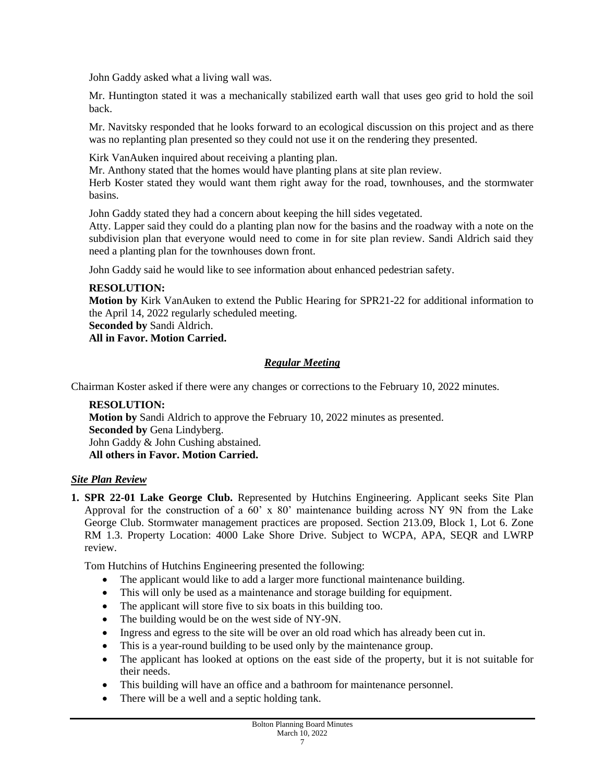John Gaddy asked what a living wall was.

Mr. Huntington stated it was a mechanically stabilized earth wall that uses geo grid to hold the soil back.

Mr. Navitsky responded that he looks forward to an ecological discussion on this project and as there was no replanting plan presented so they could not use it on the rendering they presented.

Kirk VanAuken inquired about receiving a planting plan.

Mr. Anthony stated that the homes would have planting plans at site plan review.

Herb Koster stated they would want them right away for the road, townhouses, and the stormwater basins.

John Gaddy stated they had a concern about keeping the hill sides vegetated.

Atty. Lapper said they could do a planting plan now for the basins and the roadway with a note on the subdivision plan that everyone would need to come in for site plan review. Sandi Aldrich said they need a planting plan for the townhouses down front.

John Gaddy said he would like to see information about enhanced pedestrian safety.

### **RESOLUTION:**

**Motion by** Kirk VanAuken to extend the Public Hearing for SPR21-22 for additional information to the April 14, 2022 regularly scheduled meeting.

**Seconded by** Sandi Aldrich.

#### **All in Favor. Motion Carried.**

### *Regular Meeting*

Chairman Koster asked if there were any changes or corrections to the February 10, 2022 minutes.

**RESOLUTION: Motion by** Sandi Aldrich to approve the February 10, 2022 minutes as presented. **Seconded by** Gena Lindyberg. John Gaddy & John Cushing abstained. **All others in Favor. Motion Carried.** 

### *Site Plan Review*

**1. SPR 22-01 Lake George Club.** Represented by Hutchins Engineering. Applicant seeks Site Plan Approval for the construction of a 60' x 80' maintenance building across NY 9N from the Lake George Club. Stormwater management practices are proposed. Section 213.09, Block 1, Lot 6. Zone RM 1.3. Property Location: 4000 Lake Shore Drive. Subject to WCPA, APA, SEQR and LWRP review.

Tom Hutchins of Hutchins Engineering presented the following:

- The applicant would like to add a larger more functional maintenance building.
- This will only be used as a maintenance and storage building for equipment.
- The applicant will store five to six boats in this building too.
- The building would be on the west side of NY-9N.
- Ingress and egress to the site will be over an old road which has already been cut in.
- This is a year-round building to be used only by the maintenance group.
- The applicant has looked at options on the east side of the property, but it is not suitable for their needs.
- This building will have an office and a bathroom for maintenance personnel.
- There will be a well and a septic holding tank.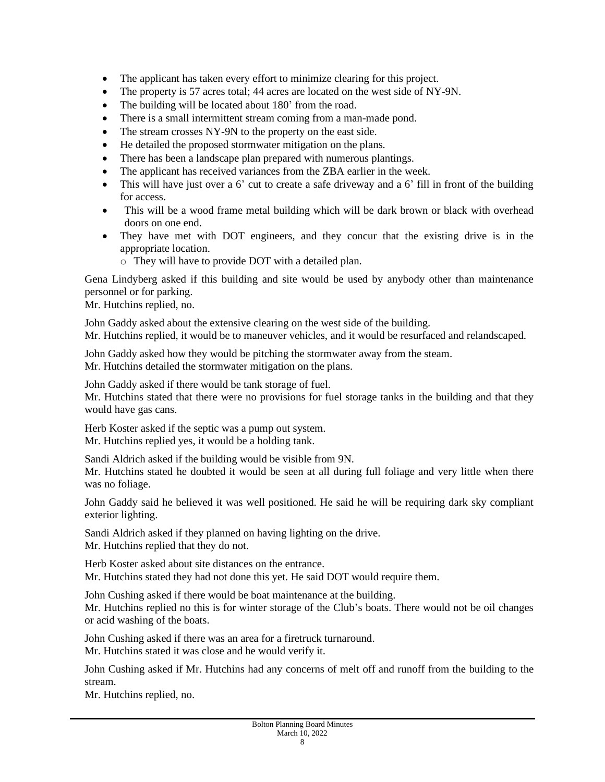- The applicant has taken every effort to minimize clearing for this project.
- The property is 57 acres total; 44 acres are located on the west side of NY-9N.
- The building will be located about 180' from the road.
- There is a small intermittent stream coming from a man-made pond.
- The stream crosses NY-9N to the property on the east side.
- He detailed the proposed stormwater mitigation on the plans.
- There has been a landscape plan prepared with numerous plantings.
- The applicant has received variances from the ZBA earlier in the week.
- This will have just over a 6' cut to create a safe driveway and a 6' fill in front of the building for access.
- This will be a wood frame metal building which will be dark brown or black with overhead doors on one end.
- They have met with DOT engineers, and they concur that the existing drive is in the appropriate location.
	- o They will have to provide DOT with a detailed plan.

Gena Lindyberg asked if this building and site would be used by anybody other than maintenance personnel or for parking.

Mr. Hutchins replied, no.

John Gaddy asked about the extensive clearing on the west side of the building.

Mr. Hutchins replied, it would be to maneuver vehicles, and it would be resurfaced and relandscaped.

John Gaddy asked how they would be pitching the stormwater away from the steam. Mr. Hutchins detailed the stormwater mitigation on the plans.

John Gaddy asked if there would be tank storage of fuel.

Mr. Hutchins stated that there were no provisions for fuel storage tanks in the building and that they would have gas cans.

Herb Koster asked if the septic was a pump out system. Mr. Hutchins replied yes, it would be a holding tank.

Sandi Aldrich asked if the building would be visible from 9N.

Mr. Hutchins stated he doubted it would be seen at all during full foliage and very little when there was no foliage.

John Gaddy said he believed it was well positioned. He said he will be requiring dark sky compliant exterior lighting.

Sandi Aldrich asked if they planned on having lighting on the drive. Mr. Hutchins replied that they do not.

Herb Koster asked about site distances on the entrance. Mr. Hutchins stated they had not done this yet. He said DOT would require them.

John Cushing asked if there would be boat maintenance at the building. Mr. Hutchins replied no this is for winter storage of the Club's boats. There would not be oil changes or acid washing of the boats.

John Cushing asked if there was an area for a firetruck turnaround. Mr. Hutchins stated it was close and he would verify it.

John Cushing asked if Mr. Hutchins had any concerns of melt off and runoff from the building to the stream.

Mr. Hutchins replied, no.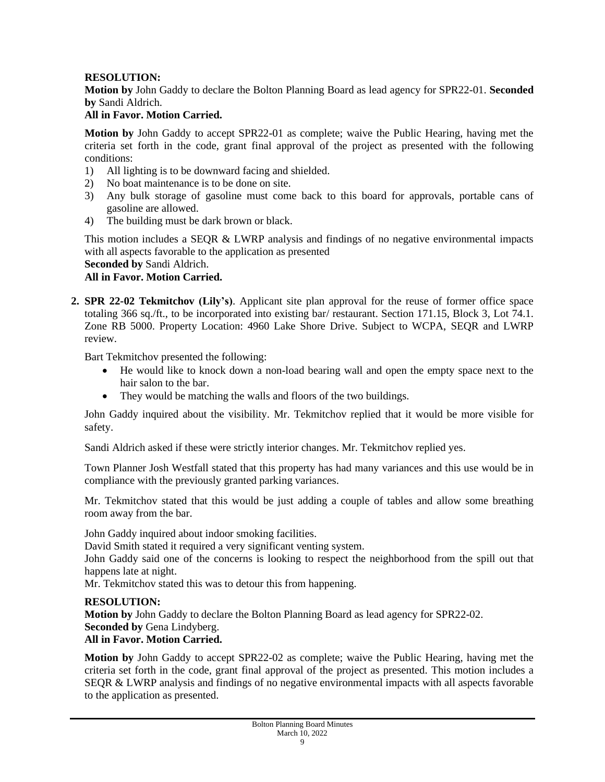### **RESOLUTION:**

**Motion by** John Gaddy to declare the Bolton Planning Board as lead agency for SPR22-01. **Seconded by** Sandi Aldrich.

## **All in Favor. Motion Carried.**

**Motion by** John Gaddy to accept SPR22-01 as complete; waive the Public Hearing, having met the criteria set forth in the code, grant final approval of the project as presented with the following conditions:

- 1) All lighting is to be downward facing and shielded.
- 2) No boat maintenance is to be done on site.
- 3) Any bulk storage of gasoline must come back to this board for approvals, portable cans of gasoline are allowed.
- 4) The building must be dark brown or black.

This motion includes a SEQR  $&$  LWRP analysis and findings of no negative environmental impacts with all aspects favorable to the application as presented

**Seconded by** Sandi Aldrich.

#### **All in Favor. Motion Carried.**

**2. SPR 22-02 Tekmitchov (Lily's)**. Applicant site plan approval for the reuse of former office space totaling 366 sq./ft., to be incorporated into existing bar/ restaurant. Section 171.15, Block 3, Lot 74.1. Zone RB 5000. Property Location: 4960 Lake Shore Drive. Subject to WCPA, SEQR and LWRP review.

Bart Tekmitchov presented the following:

- He would like to knock down a non-load bearing wall and open the empty space next to the hair salon to the bar.
- They would be matching the walls and floors of the two buildings.

John Gaddy inquired about the visibility. Mr. Tekmitchov replied that it would be more visible for safety.

Sandi Aldrich asked if these were strictly interior changes. Mr. Tekmitchov replied yes.

Town Planner Josh Westfall stated that this property has had many variances and this use would be in compliance with the previously granted parking variances.

Mr. Tekmitchov stated that this would be just adding a couple of tables and allow some breathing room away from the bar.

John Gaddy inquired about indoor smoking facilities.

David Smith stated it required a very significant venting system.

John Gaddy said one of the concerns is looking to respect the neighborhood from the spill out that happens late at night.

Mr. Tekmitchov stated this was to detour this from happening.

#### **RESOLUTION:**

**Motion by** John Gaddy to declare the Bolton Planning Board as lead agency for SPR22-02. **Seconded by** Gena Lindyberg.

#### **All in Favor. Motion Carried.**

**Motion by** John Gaddy to accept SPR22-02 as complete; waive the Public Hearing, having met the criteria set forth in the code, grant final approval of the project as presented. This motion includes a SEQR & LWRP analysis and findings of no negative environmental impacts with all aspects favorable to the application as presented.